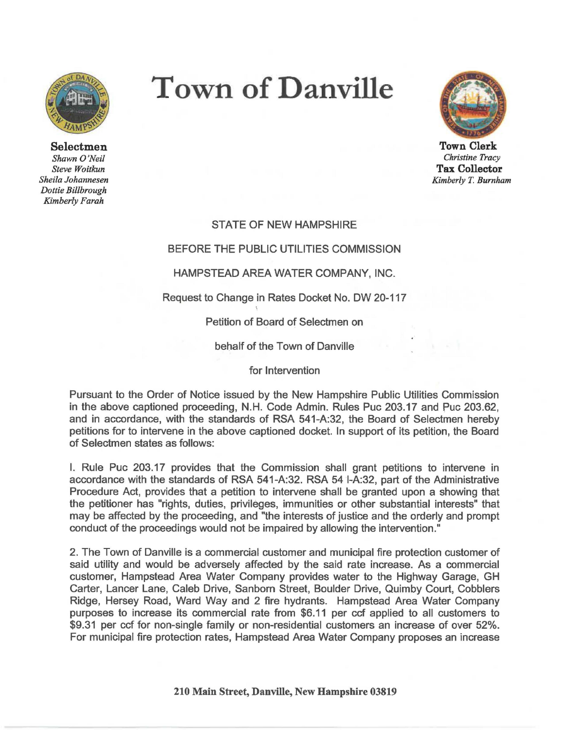

Selectmen *Shawn O'Neil Steve Woitkun Sheila Johannesen Dottie Billbrough Kimberly Farah* 

# **Town of Danville**



**Town Clerk**  *Christine Tracy*  **Tax Collector**  *Kimberly* T. *Burnham* 

# STATE OF NEW HAMPSHIRE

## BEFORE THE PUBLIC UTILITIES COMMISSION

## **HAMPSTEAD AREA WATER COMPANY, INC.**

## Request to Change in Rates Docket No. DW 20-117

## Petition of Board of Selectmen on

#### behalf of the Town of Danville

#### for Intervention

Pursuant to the Order of Notice issued by the New Hampshire Public Utilities Commission in the above captioned proceeding, N.H. Code Admin. Rules Puc 203.17 and Puc 203.62, and in accordance, with the standards of RSA 541-A:32, the Board of Selectmen hereby petitions for to intervene in the above captioned docket. In support of its petition, the Board of Selectmen states as follows:

I. Rule Puc 203.17 provides that the Commission shall grant petitions to intervene in accordance with the standards of RSA 541-A:32. RSA 54 I-A:32, part of the Administrative Procedure Act, provides that a petition to intervene shall be granted upon a showing that the petitioner has "rights, duties, privileges, immunities or other substantial interests" that may be affected by the proceeding, and "the interests of justice and the orderly and prompt conduct of the proceedings would not be impaired by allowing the intervention."

2. The Town of Danville is a commercial customer and municipal fire protection customer of said utility and would be adversely affected by the said rate increase. As a commercial customer, Hampstead Area Water Company provides water to the Highway Garage, GH Carter, Lancer Lane, Caleb Drive, Sanborn Street, Boulder Drive, Quimby Court, Cobblers Ridge, Hersey Road, Ward Way and 2 fire hydrants. Hampstead Area Water Company purposes to increase its commercial rate from \$6.11 per ccf applied to all customers to \$9.31 per ccf for non-single family or non-residential customers an increase of over 52%. For municipal fire protection rates, Hampstead Area Water Company proposes an increase